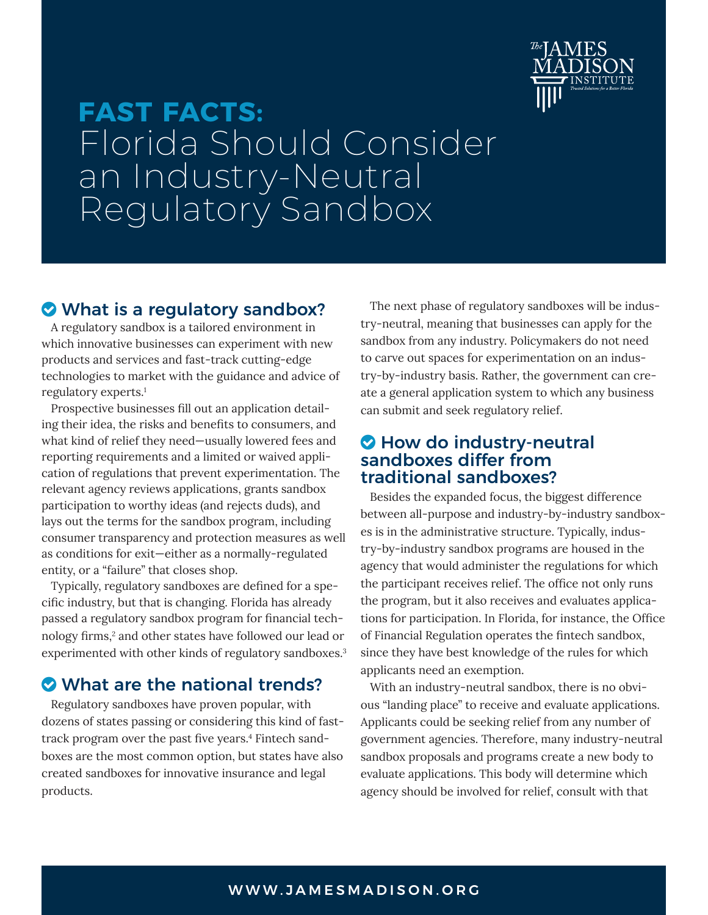

# <span id="page-0-0"></span>**FAST FACTS:** Florida Should Consider an Industry-Neutral Regulatory Sandbox

# What is a regulatory sandbox?

A regulatory sandbox is a tailored environment in which innovative businesses can experiment with new products and services and fast-track cutting-edge technologies to market with the guidance and advice of regulatory experts.[1](#page-1-0)

Prospective businesses fill out an application detailing their idea, the risks and benefits to consumers, and what kind of relief they need—usually lowered fees and reporting requirements and a limited or waived application of regulations that prevent experimentation. The relevant agency reviews applications, grants sandbox participation to worthy ideas (and rejects duds), and lays out the terms for the sandbox program, including consumer transparency and protection measures as well as conditions for exit—either as a normally-regulated entity, or a "failure" that closes shop.

Typically, regulatory sandboxes are defined for a specific industry, but that is changing. Florida has already passed a regulatory sandbox program for financial tech-nology firms,<sup>[2](#page-1-0)</sup> and other states have followed our lead or experimented with other kinds of regulatory sandboxes.<sup>[3](#page-1-0)</sup>

# What are the national trends?

Regulatory sandboxes have proven popular, with dozens of states passing or considering this kind of fasttrack program over the past five years.[4](#page-1-0) Fintech sandboxes are the most common option, but states have also created sandboxes for innovative insurance and legal products.

The next phase of regulatory sandboxes will be industry-neutral, meaning that businesses can apply for the sandbox from any industry. Policymakers do not need to carve out spaces for experimentation on an industry-by-industry basis. Rather, the government can create a general application system to which any business can submit and seek regulatory relief.

## **O** How do industry-neutral sandboxes differ from traditional sandboxes?

Besides the expanded focus, the biggest difference between all-purpose and industry-by-industry sandboxes is in the administrative structure. Typically, industry-by-industry sandbox programs are housed in the agency that would administer the regulations for which the participant receives relief. The office not only runs the program, but it also receives and evaluates applications for participation. In Florida, for instance, the Office of Financial Regulation operates the fintech sandbox, since they have best knowledge of the rules for which applicants need an exemption.

With an industry-neutral sandbox, there is no obvious "landing place" to receive and evaluate applications. Applicants could be seeking relief from any number of government agencies. Therefore, many industry-neutral sandbox proposals and programs create a new body to evaluate applications. This body will determine which agency should be involved for relief, consult with that

#### WWW.JAMESMADISON.ORG